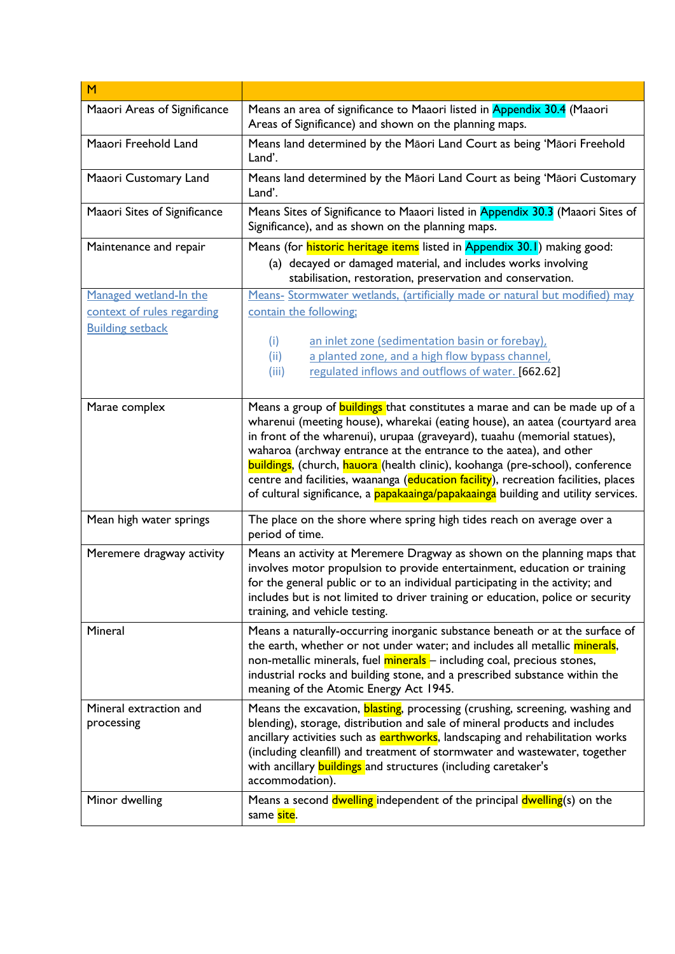| M                                    |                                                                                                                                                                                                                                                                                                                                                                                                                                                                                              |
|--------------------------------------|----------------------------------------------------------------------------------------------------------------------------------------------------------------------------------------------------------------------------------------------------------------------------------------------------------------------------------------------------------------------------------------------------------------------------------------------------------------------------------------------|
| Maaori Areas of Significance         | Means an area of significance to Maaori listed in Appendix 30.4 (Maaori<br>Areas of Significance) and shown on the planning maps.                                                                                                                                                                                                                                                                                                                                                            |
| Maaori Freehold Land                 | Means land determined by the Māori Land Court as being 'Māori Freehold<br>Land'.                                                                                                                                                                                                                                                                                                                                                                                                             |
| Maaori Customary Land                | Means land determined by the Māori Land Court as being 'Māori Customary<br>Land'.                                                                                                                                                                                                                                                                                                                                                                                                            |
| Maaori Sites of Significance         | Means Sites of Significance to Maaori listed in Appendix 30.3 (Maaori Sites of<br>Significance), and as shown on the planning maps.                                                                                                                                                                                                                                                                                                                                                          |
| Maintenance and repair               | Means (for <i>historic heritage items</i> listed in Appendix 30.1) making good:                                                                                                                                                                                                                                                                                                                                                                                                              |
|                                      | (a) decayed or damaged material, and includes works involving<br>stabilisation, restoration, preservation and conservation.                                                                                                                                                                                                                                                                                                                                                                  |
| Managed wetland-In the               | Means- Stormwater wetlands, (artificially made or natural but modified) may                                                                                                                                                                                                                                                                                                                                                                                                                  |
| context of rules regarding           | contain the following;                                                                                                                                                                                                                                                                                                                                                                                                                                                                       |
| <b>Building setback</b>              |                                                                                                                                                                                                                                                                                                                                                                                                                                                                                              |
|                                      | (i)<br>an inlet zone (sedimentation basin or forebay),                                                                                                                                                                                                                                                                                                                                                                                                                                       |
|                                      | a planted zone, and a high flow bypass channel,<br>(ii)<br>regulated inflows and outflows of water. [662.62]<br>(iii)                                                                                                                                                                                                                                                                                                                                                                        |
|                                      |                                                                                                                                                                                                                                                                                                                                                                                                                                                                                              |
|                                      | wharenui (meeting house), wharekai (eating house), an aatea (courtyard area<br>in front of the wharenui), urupaa (graveyard), tuaahu (memorial statues),<br>waharoa (archway entrance at the entrance to the aatea), and other<br>buildings, (church, hauora (health clinic), koohanga (pre-school), conference<br>centre and facilities, waananga (education facility), recreation facilities, places<br>of cultural significance, a papakaainga/papakaainga building and utility services. |
| Mean high water springs              | The place on the shore where spring high tides reach on average over a<br>period of time.                                                                                                                                                                                                                                                                                                                                                                                                    |
| Meremere dragway activity            | Means an activity at Meremere Dragway as shown on the planning maps that<br>involves motor propulsion to provide entertainment, education or training<br>for the general public or to an individual participating in the activity; and<br>includes but is not limited to driver training or education, police or security<br>training, and vehicle testing.                                                                                                                                  |
| Mineral                              | Means a naturally-occurring inorganic substance beneath or at the surface of<br>the earth, whether or not under water; and includes all metallic minerals,<br>non-metallic minerals, fuel minerals - including coal, precious stones,<br>industrial rocks and building stone, and a prescribed substance within the<br>meaning of the Atomic Energy Act 1945.                                                                                                                                |
| Mineral extraction and<br>processing | Means the excavation, blasting, processing (crushing, screening, washing and<br>blending), storage, distribution and sale of mineral products and includes<br>ancillary activities such as earthworks, landscaping and rehabilitation works<br>(including cleanfill) and treatment of stormwater and wastewater, together<br>with ancillary <b>buildings</b> and structures (including caretaker's<br>accommodation).                                                                        |
| Minor dwelling                       | Means a second dwelling independent of the principal dwelling(s) on the<br>same site.                                                                                                                                                                                                                                                                                                                                                                                                        |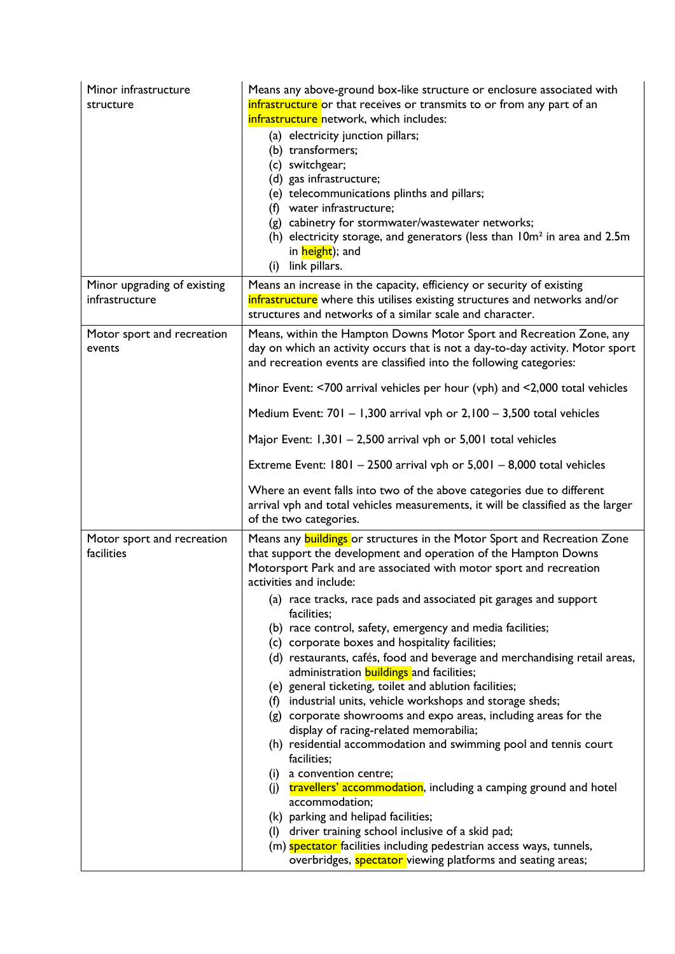| Minor infrastructure<br>structure             | Means any above-ground box-like structure or enclosure associated with<br>infrastructure or that receives or transmits to or from any part of an<br>infrastructure network, which includes:<br>(a) electricity junction pillars;<br>(b) transformers;<br>(c) switchgear;<br>(d) gas infrastructure;<br>(e) telecommunications plinths and pillars;<br>(f) water infrastructure;<br>(g) cabinetry for stormwater/wastewater networks;<br>(h) electricity storage, and generators (less than $10m^2$ in area and 2.5m<br>in height); and<br>link pillars.<br>(i)                                                                                                                                                                                                                                                                                                                                                                                                                                                                                                                                                                                                                                                                                                           |
|-----------------------------------------------|--------------------------------------------------------------------------------------------------------------------------------------------------------------------------------------------------------------------------------------------------------------------------------------------------------------------------------------------------------------------------------------------------------------------------------------------------------------------------------------------------------------------------------------------------------------------------------------------------------------------------------------------------------------------------------------------------------------------------------------------------------------------------------------------------------------------------------------------------------------------------------------------------------------------------------------------------------------------------------------------------------------------------------------------------------------------------------------------------------------------------------------------------------------------------------------------------------------------------------------------------------------------------|
| Minor upgrading of existing<br>infrastructure | Means an increase in the capacity, efficiency or security of existing<br>infrastructure where this utilises existing structures and networks and/or<br>structures and networks of a similar scale and character.                                                                                                                                                                                                                                                                                                                                                                                                                                                                                                                                                                                                                                                                                                                                                                                                                                                                                                                                                                                                                                                         |
| Motor sport and recreation<br>events          | Means, within the Hampton Downs Motor Sport and Recreation Zone, any<br>day on which an activity occurs that is not a day-to-day activity. Motor sport<br>and recreation events are classified into the following categories:                                                                                                                                                                                                                                                                                                                                                                                                                                                                                                                                                                                                                                                                                                                                                                                                                                                                                                                                                                                                                                            |
|                                               | Minor Event: <700 arrival vehicles per hour (vph) and <2,000 total vehicles<br>Medium Event: $701 - 1,300$ arrival vph or $2,100 - 3,500$ total vehicles                                                                                                                                                                                                                                                                                                                                                                                                                                                                                                                                                                                                                                                                                                                                                                                                                                                                                                                                                                                                                                                                                                                 |
|                                               | Major Event: 1,301 - 2,500 arrival vph or 5,001 total vehicles                                                                                                                                                                                                                                                                                                                                                                                                                                                                                                                                                                                                                                                                                                                                                                                                                                                                                                                                                                                                                                                                                                                                                                                                           |
|                                               | Extreme Event: $1801 - 2500$ arrival vph or $5,001 - 8,000$ total vehicles                                                                                                                                                                                                                                                                                                                                                                                                                                                                                                                                                                                                                                                                                                                                                                                                                                                                                                                                                                                                                                                                                                                                                                                               |
|                                               | Where an event falls into two of the above categories due to different<br>arrival vph and total vehicles measurements, it will be classified as the larger<br>of the two categories.                                                                                                                                                                                                                                                                                                                                                                                                                                                                                                                                                                                                                                                                                                                                                                                                                                                                                                                                                                                                                                                                                     |
| Motor sport and recreation<br>facilities      | Means any <b>buildings</b> or structures in the Motor Sport and Recreation Zone<br>that support the development and operation of the Hampton Downs<br>Motorsport Park and are associated with motor sport and recreation<br>activities and include:<br>(a) race tracks, race pads and associated pit garages and support<br>facilities;<br>(b) race control, safety, emergency and media facilities;<br>(c) corporate boxes and hospitality facilities;<br>(d) restaurants, cafés, food and beverage and merchandising retail areas,<br>administration <b>buildings</b> and facilities;<br>(e) general ticketing, toilet and ablution facilities;<br>(f) industrial units, vehicle workshops and storage sheds;<br>(g) corporate showrooms and expo areas, including areas for the<br>display of racing-related memorabilia;<br>(h) residential accommodation and swimming pool and tennis court<br>facilities;<br>(i) a convention centre;<br>(j) travellers' accommodation, including a camping ground and hotel<br>accommodation;<br>(k) parking and helipad facilities;<br>(I) driver training school inclusive of a skid pad;<br>(m) spectator facilities including pedestrian access ways, tunnels,<br>overbridges, spectator viewing platforms and seating areas; |